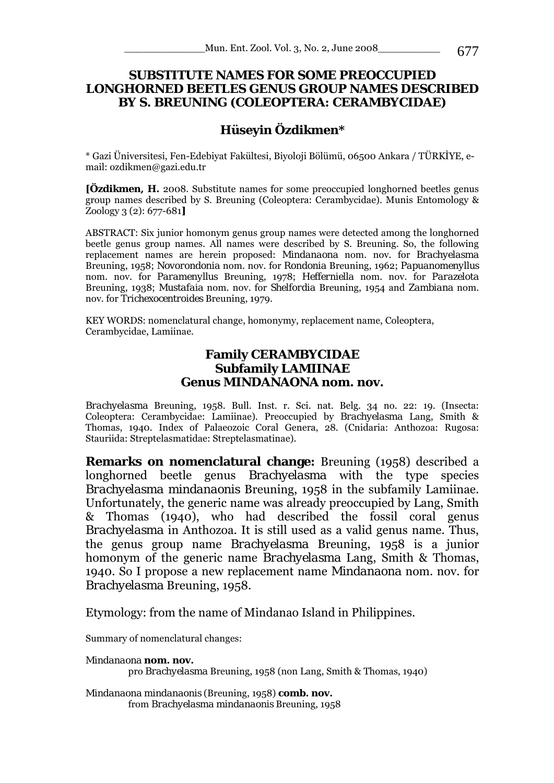# **SUBSTITUTE NAMES FOR SOME PREOCCUPIED LONGHORNED BEETLES GENUS GROUP NAMES DESCRIBED BY S. BREUNING (COLEOPTERA: CERAMBYCIDAE)**

# **Hüseyin Özdikmen\***

\* Gazi Üniversitesi, Fen-Edebiyat Fakültesi, Biyoloji Bölümü, 06500 Ankara / TÜRKİYE, email: ozdikmen@gazi.edu.tr

**[Özdikmen, H.** 2008. Substitute names for some preoccupied longhorned beetles genus group names described by S. Breuning (Coleoptera: Cerambycidae). Munis Entomology & Zoology 3 (2): 677-681**]**

ABSTRACT: Six junior homonym genus group names were detected among the longhorned beetle genus group names. All names were described by S. Breuning. So, the following replacement names are herein proposed: *Mindanaona* nom. nov. for *Brachyelasma*  Breuning, 1958; *Novorondonia* nom. nov. for *Rondonia* Breuning, 1962; *Papuanomenyllus*  nom. nov. for *Paramenyllus* Breuning, 1978; *Hefferniella* nom. nov. for *Parazelota*  Breuning, 1938; *Mustafaia* nom. nov. for *Shelfordia* Breuning, 1954 and *Zambiana* nom. nov. for *Trichexocentroides* Breuning, 1979.

KEY WORDS: nomenclatural change, homonymy, replacement name, Coleoptera, Cerambycidae, Lamiinae.

#### **Family CERAMBYCIDAE Subfamily LAMIINAE Genus** *MINDANAONA* **nom. nov.**

*Brachyelasma* Breuning, 1958. Bull. Inst. r. Sci. nat. Belg. 34 no. 22: 19. (Insecta: Coleoptera: Cerambycidae: Lamiinae). Preoccupied by *Brachyelasma* Lang, Smith & Thomas, 1940. Index of Palaeozoic Coral Genera, 28. (Cnidaria: Anthozoa: Rugosa: Stauriida: Streptelasmatidae: Streptelasmatinae).

**Remarks on nomenclatural change:** Breuning (1958) described a longhorned beetle genus *Brachyelasma* with the type species *Brachyelasma mindanaonis* Breuning, 1958 in the subfamily Lamiinae. Unfortunately, the generic name was already preoccupied by Lang, Smith & Thomas (1940), who had described the fossil coral genus *Brachyelasma* in Anthozoa. It is still used as a valid genus name. Thus, the genus group name *Brachyelasma* Breuning, 1958 is a junior homonym of the generic name *Brachyelasma* Lang, Smith & Thomas, 1940. So I propose a new replacement name *Mindanaona* nom. nov. for *Brachyelasma* Breuning, 1958.

Etymology: from the name of Mindanao Island in Philippines.

Summary of nomenclatural changes:

*Mindanaona* **nom. nov.**  pro *Brachyelasma* Breuning, 1958 (non Lang, Smith & Thomas, 1940)

*Mindanaona mindanaonis* (Breuning, 1958) **comb. nov.**  from *Brachyelasma mindanaonis* Breuning, 1958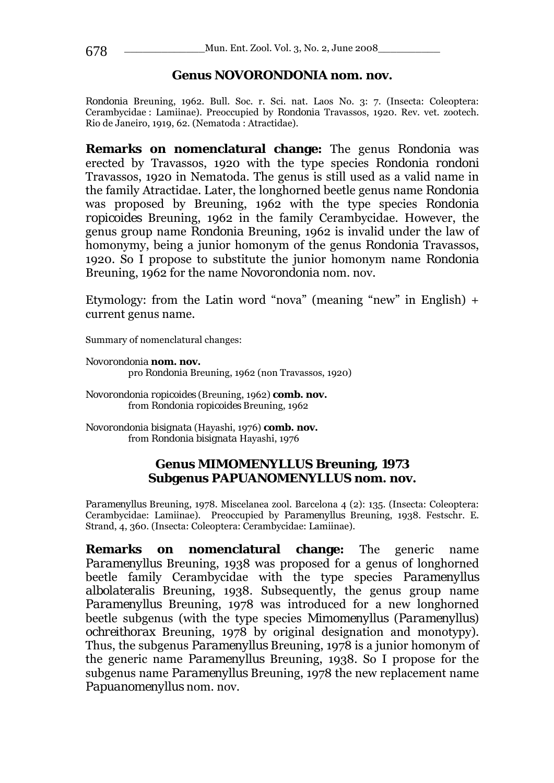# **Genus** *NOVORONDONIA* **nom. nov.**

*Rondonia* Breuning, 1962. Bull. Soc. r. Sci. nat. Laos No. 3: 7. (Insecta: Coleoptera: Cerambycidae : Lamiinae). Preoccupied by *Rondonia* Travassos, 1920. Rev. vet. zootech. Rio de Janeiro, 1919, 62. (Nematoda : Atractidae).

**Remarks on nomenclatural change:** The genus *Rondonia* was erected by Travassos, 1920 with the type species *Rondonia rondoni*  Travassos, 1920 in Nematoda. The genus is still used as a valid name in the family Atractidae. Later, the longhorned beetle genus name *Rondonia*  was proposed by Breuning, 1962 with the type species *Rondonia ropicoides* Breuning, 1962 in the family Cerambycidae. However, the genus group name *Rondonia* Breuning, 1962 is invalid under the law of homonymy, being a junior homonym of the genus *Rondonia* Travassos, 1920. So I propose to substitute the junior homonym name *Rondonia*  Breuning, 1962 for the name *Novorondonia* nom. nov.

Etymology: from the Latin word "nova" (meaning "new" in English)  $+$ current genus name.

Summary of nomenclatural changes:

*Novorondonia* **nom. nov.**  pro *Rondonia* Breuning, 1962 (non Travassos, 1920)

*Novorondonia ropicoides* (Breuning, 1962) **comb. nov.**  from *Rondonia ropicoides* Breuning, 1962

*Novorondonia bisignata* (Hayashi, 1976) **comb. nov.**  from *Rondonia bisignata* Hayashi, 1976

# **Genus** *MIMOMENYLLUS* **Breuning, 1973 Subgenus** *PAPUANOMENYLLUS* **nom. nov.**

*Paramenyllus* Breuning, 1978. Miscelanea zool. Barcelona 4 (2): 135. (Insecta: Coleoptera: Cerambycidae: Lamiinae). Preoccupied by *Paramenyllus* Breuning, 1938. Festschr. E. Strand, 4, 360. (Insecta: Coleoptera: Cerambycidae: Lamiinae).

**Remarks on nomenclatural change:** The generic name *Paramenyllus* Breuning, 1938 was proposed for a genus of longhorned beetle family Cerambycidae with the type species *Paramenyllus albolateralis* Breuning, 1938. Subsequently, the genus group name *Paramenyllus* Breuning, 1978 was introduced for a new longhorned beetle subgenus (with the type species *Mimomenyllus* (*Paramenyllus*) *ochreithorax* Breuning, 1978 by original designation and monotypy). Thus, the subgenus *Paramenyllus* Breuning, 1978 is a junior homonym of the generic name *Paramenyllus* Breuning, 1938. So I propose for the subgenus name *Paramenyllus* Breuning, 1978 the new replacement name *Papuanomenyllus* nom. nov.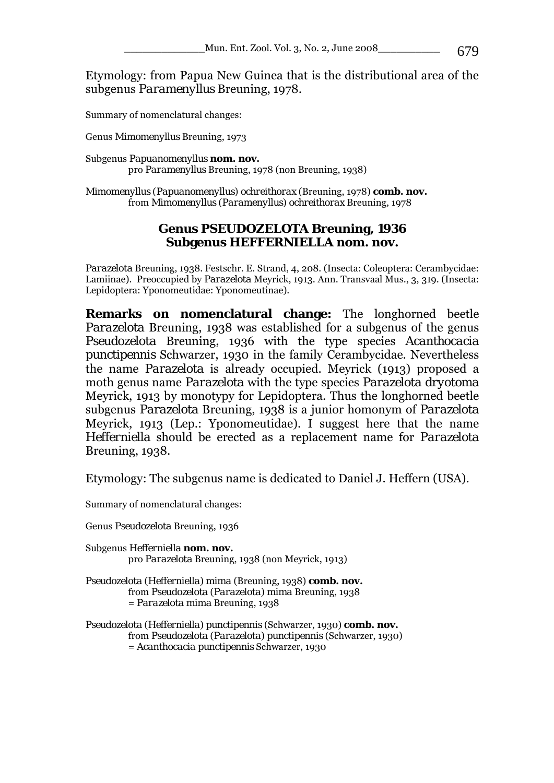Etymology: from Papua New Guinea that is the distributional area of the subgenus *Paramenyllus* Breuning, 1978.

Summary of nomenclatural changes:

Genus *Mimomenyllus* Breuning, 1973

Subgenus *Papuanomenyllus* **nom. nov.**  pro *Paramenyllus* Breuning, 1978 (non Breuning, 1938)

*Mimomenyllus* (*Papuanomenyllus*) *ochreithorax* (Breuning, 1978) **comb. nov.**  from *Mimomenyllus* (*Paramenyllus*) *ochreithorax* Breuning, 1978

### **Genus** *PSEUDOZELOTA* **Breuning, 1936 Subgenus** *HEFFERNIELLA* **nom. nov.**

*Parazelota* Breuning, 1938. Festschr. E. Strand, 4, 208. (Insecta: Coleoptera: Cerambycidae: Lamiinae). Preoccupied by *Parazelota* Meyrick, 1913. Ann. Transvaal Mus., 3, 319. (Insecta: Lepidoptera: Yponomeutidae: Yponomeutinae).

**Remarks on nomenclatural change:** The longhorned beetle *Parazelota* Breuning, 1938 was established for a subgenus of the genus *Pseudozelota* Breuning, 1936 with the type species *Acanthocacia punctipennis* Schwarzer, 1930 in the family Cerambycidae. Nevertheless the name *Parazelota* is already occupied. Meyrick (1913) proposed a moth genus name *Parazelota* with the type species *Parazelota dryotoma*  Meyrick, 1913 by monotypy for Lepidoptera. Thus the longhorned beetle subgenus *Parazelota* Breuning, 1938 is a junior homonym of *Parazelota*  Meyrick, 1913 (Lep.: Yponomeutidae). I suggest here that the name *Hefferniella* should be erected as a replacement name for *Parazelota*  Breuning, 1938.

Etymology: The subgenus name is dedicated to Daniel J. Heffern (USA).

Summary of nomenclatural changes:

Genus *Pseudozelota* Breuning, 1936

Subgenus *Hefferniella* **nom. nov.**  pro *Parazelota* Breuning, 1938 (non Meyrick, 1913)

*Pseudozelota* (*Hefferniella*) *mima* (Breuning, 1938) **comb. nov.**  from *Pseudozelota* (*Parazelota*) *mima* Breuning, 1938 = *Parazelota mima* Breuning, 1938

*Pseudozelota* (*Hefferniella*) *punctipennis* (Schwarzer, 1930) **comb. nov.**  from *Pseudozelota* (*Parazelota*) *punctipennis* (Schwarzer, 1930) = *Acanthocacia punctipennis* Schwarzer, 1930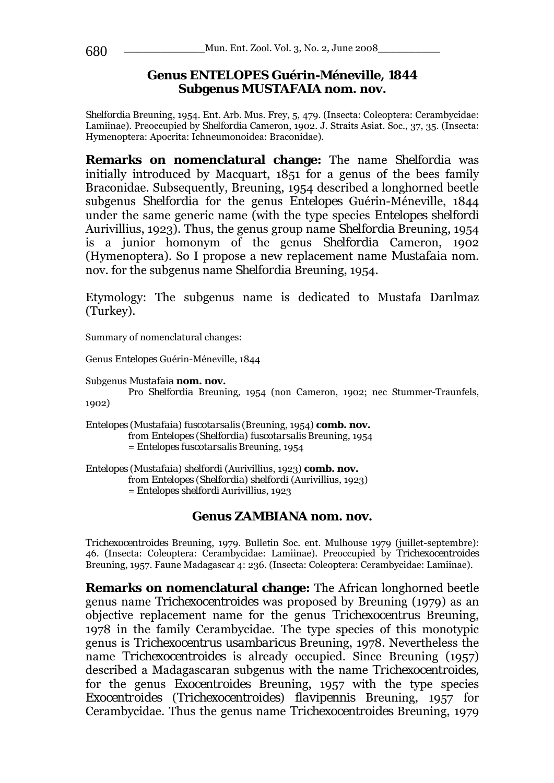# **Genus** *ENTELOPES* **Guérin-Méneville, 1844 Subgenus** *MUSTAFAIA* **nom. nov.**

*Shelfordia* Breuning, 1954. Ent. Arb. Mus. Frey, 5, 479. (Insecta: Coleoptera: Cerambycidae: Lamiinae). Preoccupied by *Shelfordia* Cameron, 1902. J. Straits Asiat. Soc., 37, 35. (Insecta: Hymenoptera: Apocrita: Ichneumonoidea: Braconidae).

**Remarks on nomenclatural change:** The name *Shelfordia* was initially introduced by Macquart, 1851 for a genus of the bees family Braconidae. Subsequently, Breuning, 1954 described a longhorned beetle subgenus *Shelfordia* for the genus *Entelopes* Guérin-Méneville, 1844 under the same generic name (with the type species *Entelopes shelfordi*  Aurivillius, 1923). Thus, the genus group name *Shelfordia* Breuning, 1954 is a junior homonym of the genus *Shelfordia* Cameron, 1902 (Hymenoptera). So I propose a new replacement name *Mustafaia* nom. nov. for the subgenus name *Shelfordia* Breuning, 1954.

Etymology: The subgenus name is dedicated to Mustafa Darılmaz (Turkey).

Summary of nomenclatural changes:

Genus *Entelopes* Guérin-Méneville, 1844

```
Subgenus Mustafaia nom. nov.
```
Pro *Shelfordia* Breuning, 1954 (non Cameron, 1902; nec Stummer-Traunfels, 1902)

*Entelopes* (*Mustafaia*) *fuscotarsalis* (Breuning, 1954) **comb. nov.**  from *Entelopes* (*Shelfordia*) *fuscotarsalis* Breuning, 1954 = *Entelopes fuscotarsalis* Breuning, 1954

*Entelopes* (*Mustafaia*) *shelfordi* (Aurivillius, 1923) **comb. nov.**  from *Entelopes* (*Shelfordia*) *shelfordi* (Aurivillius, 1923) = *Entelopes shelfordi* Aurivillius, 1923

# **Genus** *ZAMBIANA* **nom. nov.**

*Trichexocentroides* Breuning, 1979. Bulletin Soc. ent. Mulhouse 1979 (juillet-septembre): 46. (Insecta: Coleoptera: Cerambycidae: Lamiinae). Preoccupied by *Trichexocentroides*  Breuning, 1957. Faune Madagascar 4: 236. (Insecta: Coleoptera: Cerambycidae: Lamiinae).

**Remarks on nomenclatural change:** The African longhorned beetle genus name *Trichexocentroides* was proposed by Breuning (1979) as an objective replacement name for the genus *Trichexocentrus* Breuning, 1978 in the family Cerambycidae. The type species of this monotypic genus is *Trichexocentrus usambaricus* Breuning, 1978. Nevertheless the name *Trichexocentroides* is already occupied. Since Breuning (1957) described a Madagascaran subgenus with the name *Trichexocentroides,*  for the genus *Exocentroides* Breuning, 1957 with the type species *Exocentroides* (*Trichexocentroides*) *flavipennis* Breuning, 1957 for Cerambycidae. Thus the genus name *Trichexocentroides* Breuning, 1979